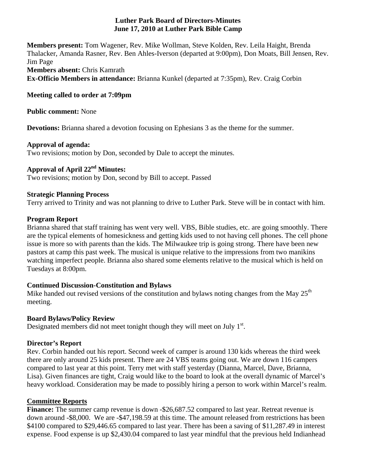### **Luther Park Board of Directors-Minutes June 17, 2010 at Luther Park Bible Camp**

**Members present:** Tom Wagener, Rev. Mike Wollman, Steve Kolden, Rev. Leila Haight, Brenda Thalacker, Amanda Rasner, Rev. Ben Ahles-Iverson (departed at 9:00pm), Don Moats, Bill Jensen, Rev. Jim Page **Members absent:** Chris Kamrath **Ex-Officio Members in attendance:** Brianna Kunkel (departed at 7:35pm), Rev. Craig Corbin

### **Meeting called to order at 7:09pm**

**Public comment:** None

**Devotions:** Brianna shared a devotion focusing on Ephesians 3 as the theme for the summer.

#### **Approval of agenda:**

Two revisions; motion by Don, seconded by Dale to accept the minutes.

# **Approval of April 22nd Minutes:**

Two revisions; motion by Don, second by Bill to accept. Passed

### **Strategic Planning Process**

Terry arrived to Trinity and was not planning to drive to Luther Park. Steve will be in contact with him.

### **Program Report**

Brianna shared that staff training has went very well. VBS, Bible studies, etc. are going smoothly. There are the typical elements of homesickness and getting kids used to not having cell phones. The cell phone issue is more so with parents than the kids. The Milwaukee trip is going strong. There have been new pastors at camp this past week. The musical is unique relative to the impressions from two manikins watching imperfect people. Brianna also shared some elements relative to the musical which is held on Tuesdays at 8:00pm.

# **Continued Discussion-Constitution and Bylaws**

Mike handed out revised versions of the constitution and bylaws noting changes from the May  $25<sup>th</sup>$ meeting.

# **Board Bylaws/Policy Review**

Designated members did not meet tonight though they will meet on July  $1<sup>st</sup>$ .

# **Director's Report**

Rev. Corbin handed out his report. Second week of camper is around 130 kids whereas the third week there are only around 25 kids present. There are 24 VBS teams going out. We are down 116 campers compared to last year at this point. Terry met with staff yesterday (Dianna, Marcel, Dave, Brianna, Lisa). Given finances are tight, Craig would like to the board to look at the overall dynamic of Marcel's heavy workload. Consideration may be made to possibly hiring a person to work within Marcel's realm.

# **Committee Reports**

**Finance:** The summer camp revenue is down -\$26,687.52 compared to last year. Retreat revenue is down around -\$8,000. We are -\$47,198.59 at this time. The amount released from restrictions has been \$4100 compared to \$29,446.65 compared to last year. There has been a saving of \$11,287.49 in interest expense. Food expense is up \$2,430.04 compared to last year mindful that the previous held Indianhead